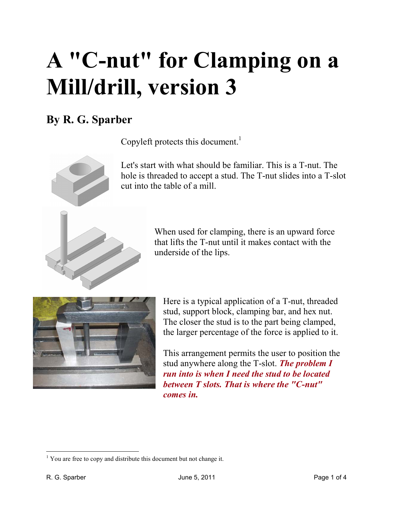## **A "C-nut" for Clamping on a Mill/drill, version 3**

## **By R. G. Sparber**

Copyleft protects this document.<sup>1</sup>



Let's start with what should be familiar. This is a T-nut. The hole is threaded to accept a stud. The T-nut slides into a T-slot cut into the table of a mill.

> When used for clamping, there is an upward force that lifts the T-nut until it makes contact with the underside of the lips.



Here is a typical application of a T-nut, threaded stud, support block, clamping bar, and hex nut. The closer the stud is to the part being clamped, the larger percentage of the force is applied to it.

This arrangement permits the user to position the stud anywhere along the T-slot. *The problem I run into is when I need the stud to be located between T slots. That is where the "C-nut" comes in.* 

 $\overline{a}$ <sup>1</sup> You are free to copy and distribute this document but not change it.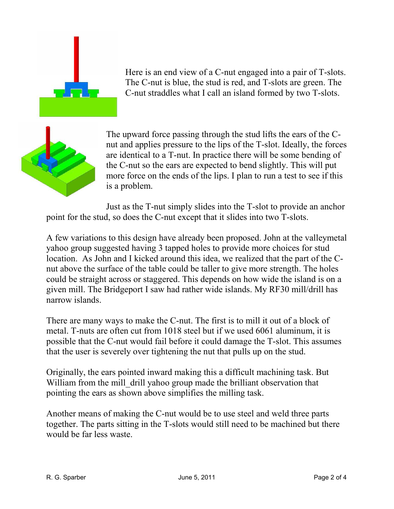

Here is an end view of a C-nut engaged into a pair of T-slots. The C-nut is blue, the stud is red, and T-slots are green. The C-nut straddles what I call an island formed by two T-slots.



The upward force passing through the stud lifts the ears of the Cnut and applies pressure to the lips of the T-slot. Ideally, the forces are identical to a T-nut. In practice there will be some bending of the C-nut so the ears are expected to bend slightly. This will put more force on the ends of the lips. I plan to run a test to see if this is a problem.

Just as the T-nut simply slides into the T-slot to provide an anchor point for the stud, so does the C-nut except that it slides into two T-slots.

A few variations to this design have already been proposed. John at the valleymetal yahoo group suggested having 3 tapped holes to provide more choices for stud location. As John and I kicked around this idea, we realized that the part of the Cnut above the surface of the table could be taller to give more strength. The holes could be straight across or staggered. This depends on how wide the island is on a given mill. The Bridgeport I saw had rather wide islands. My RF30 mill/drill has narrow islands.

There are many ways to make the C-nut. The first is to mill it out of a block of metal. T-nuts are often cut from 1018 steel but if we used 6061 aluminum, it is possible that the C-nut would fail before it could damage the T-slot. This assumes that the user is severely over tightening the nut that pulls up on the stud.

Originally, the ears pointed inward making this a difficult machining task. But William from the mill drill yahoo group made the brilliant observation that pointing the ears as shown above simplifies the milling task.

Another means of making the C-nut would be to use steel and weld three parts together. The parts sitting in the T-slots would still need to be machined but there would be far less waste.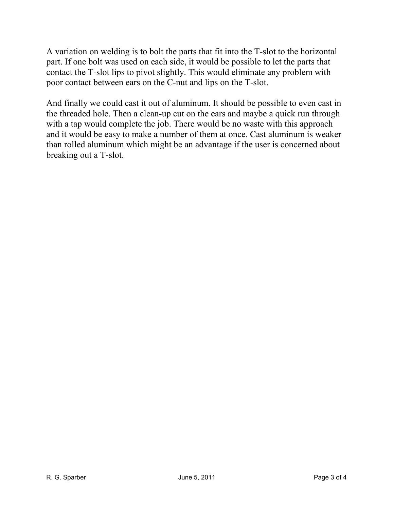A variation on welding is to bolt the parts that fit into the T-slot to the horizontal part. If one bolt was used on each side, it would be possible to let the parts that contact the T-slot lips to pivot slightly. This would eliminate any problem with poor contact between ears on the C-nut and lips on the T-slot.

And finally we could cast it out of aluminum. It should be possible to even cast in the threaded hole. Then a clean-up cut on the ears and maybe a quick run through with a tap would complete the job. There would be no waste with this approach and it would be easy to make a number of them at once. Cast aluminum is weaker than rolled aluminum which might be an advantage if the user is concerned about breaking out a T-slot.